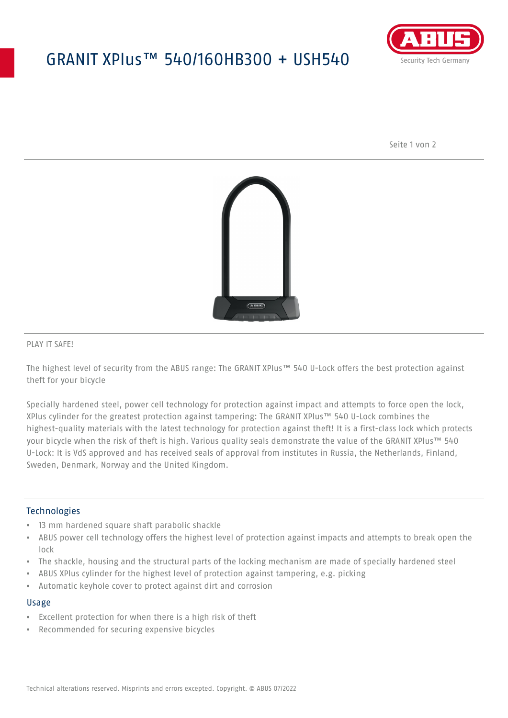## GRANIT XPlus™ 540/160HB300 + USH540



Seite 1 von 2



#### PLAY IT SAFE!

The highest level of security from the ABUS range: The GRANIT XPlus™ 540 U-Lock offers the best protection against theft for your bicycle

Specially hardened steel, power cell technology for protection against impact and attempts to force open the lock, XPlus cylinder for the greatest protection against tampering: The GRANIT XPlus™ 540 U-Lock combines the highest-quality materials with the latest technology for protection against theft! It is a first-class lock which protects your bicycle when the risk of theft is high. Various quality seals demonstrate the value of the GRANIT XPlus™ 540 U-Lock: It is VdS approved and has received seals of approval from institutes in Russia, the Netherlands, Finland, Sweden, Denmark, Norway and the United Kingdom.

### **Technologies**

- 13 mm hardened square shaft parabolic shackle
- ABUS power cell technology offers the highest level of protection against impacts and attempts to break open the lock
- The shackle, housing and the structural parts of the locking mechanism are made of specially hardened steel
- ABUS XPlus cylinder for the highest level of protection against tampering, e.g. picking
- Automatic keyhole cover to protect against dirt and corrosion

#### Usage

- Excellent protection for when there is a high risk of theft
- Recommended for securing expensive bicycles